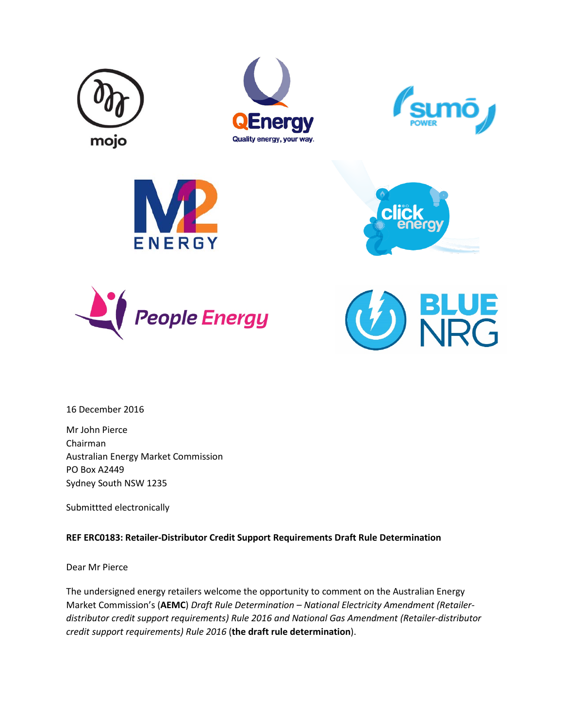













16 December 2016

Mr John Pierce Chairman Australian Energy Market Commission PO Box A2449 Sydney South NSW 1235

Submittted electronically

## **REF ERC0183: Retailer-Distributor Credit Support Requirements Draft Rule Determination**

Dear Mr Pierce

The undersigned energy retailers welcome the opportunity to comment on the Australian Energy Market Commission's (**AEMC**) *Draft Rule Determination – National Electricity Amendment (Retailerdistributor credit support requirements) Rule 2016 and National Gas Amendment (Retailer-distributor credit support requirements) Rule 2016* (**the draft rule determination**).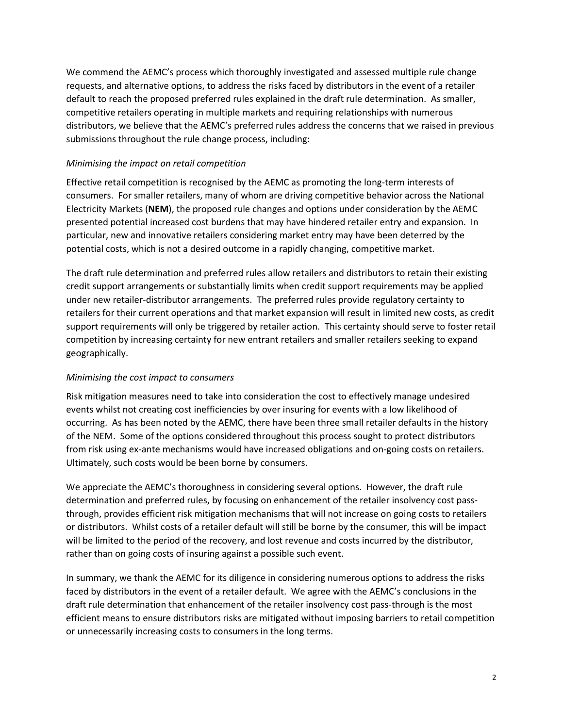We commend the AEMC's process which thoroughly investigated and assessed multiple rule change requests, and alternative options, to address the risks faced by distributors in the event of a retailer default to reach the proposed preferred rules explained in the draft rule determination. As smaller, competitive retailers operating in multiple markets and requiring relationships with numerous distributors, we believe that the AEMC's preferred rules address the concerns that we raised in previous submissions throughout the rule change process, including:

## *Minimising the impact on retail competition*

Effective retail competition is recognised by the AEMC as promoting the long-term interests of consumers. For smaller retailers, many of whom are driving competitive behavior across the National Electricity Markets (**NEM**), the proposed rule changes and options under consideration by the AEMC presented potential increased cost burdens that may have hindered retailer entry and expansion. In particular, new and innovative retailers considering market entry may have been deterred by the potential costs, which is not a desired outcome in a rapidly changing, competitive market.

The draft rule determination and preferred rules allow retailers and distributors to retain their existing credit support arrangements or substantially limits when credit support requirements may be applied under new retailer-distributor arrangements. The preferred rules provide regulatory certainty to retailers for their current operations and that market expansion will result in limited new costs, as credit support requirements will only be triggered by retailer action. This certainty should serve to foster retail competition by increasing certainty for new entrant retailers and smaller retailers seeking to expand geographically.

## *Minimising the cost impact to consumers*

Risk mitigation measures need to take into consideration the cost to effectively manage undesired events whilst not creating cost inefficiencies by over insuring for events with a low likelihood of occurring. As has been noted by the AEMC, there have been three small retailer defaults in the history of the NEM. Some of the options considered throughout this process sought to protect distributors from risk using ex-ante mechanisms would have increased obligations and on-going costs on retailers. Ultimately, such costs would be been borne by consumers.

We appreciate the AEMC's thoroughness in considering several options. However, the draft rule determination and preferred rules, by focusing on enhancement of the retailer insolvency cost passthrough, provides efficient risk mitigation mechanisms that will not increase on going costs to retailers or distributors. Whilst costs of a retailer default will still be borne by the consumer, this will be impact will be limited to the period of the recovery, and lost revenue and costs incurred by the distributor, rather than on going costs of insuring against a possible such event.

In summary, we thank the AEMC for its diligence in considering numerous options to address the risks faced by distributors in the event of a retailer default. We agree with the AEMC's conclusions in the draft rule determination that enhancement of the retailer insolvency cost pass-through is the most efficient means to ensure distributors risks are mitigated without imposing barriers to retail competition or unnecessarily increasing costs to consumers in the long terms.